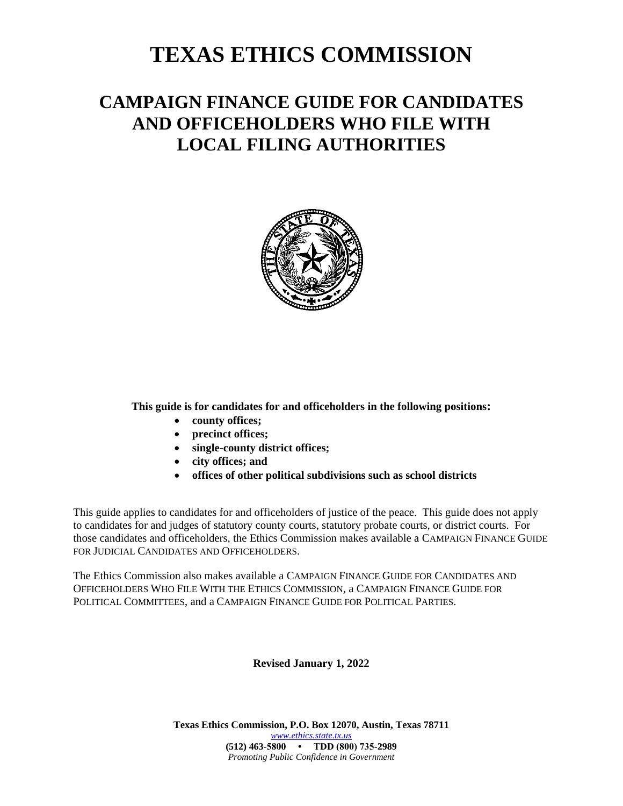# **TEXAS ETHICS COMMISSION**

# **CAMPAIGN FINANCE GUIDE FOR CANDIDATES AND OFFICEHOLDERS WHO FILE WITH LOCAL FILING AUTHORITIES**



**This guide is for candidates for and officeholders in the following positions:**

- **county offices;**
- **precinct offices;**
- **single-county district offices;**
- **city offices; and**
- **offices of other political subdivisions such as school districts**

This guide applies to candidates for and officeholders of justice of the peace. This guide does not apply to candidates for and judges of statutory county courts, statutory probate courts, or district courts. For those candidates and officeholders, the Ethics Commission makes available a CAMPAIGN FINANCE GUIDE FOR JUDICIAL CANDIDATES AND OFFICEHOLDERS.

The Ethics Commission also makes available a CAMPAIGN FINANCE GUIDE FOR CANDIDATES AND OFFICEHOLDERS WHO FILE WITH THE ETHICS COMMISSION, a CAMPAIGN FINANCE GUIDE FOR POLITICAL COMMITTEES, and a CAMPAIGN FINANCE GUIDE FOR POLITICAL PARTIES.

#### **Revised January 1, 2022**

**Texas Ethics Commission, P.O. Box 12070, Austin, Texas 78711** *[www.ethics.state.tx.us](http://www.ethics.state.tx.us/)* **(512) 463-5800 • TDD (800) 735-2989** *Promoting Public Confidence in Government*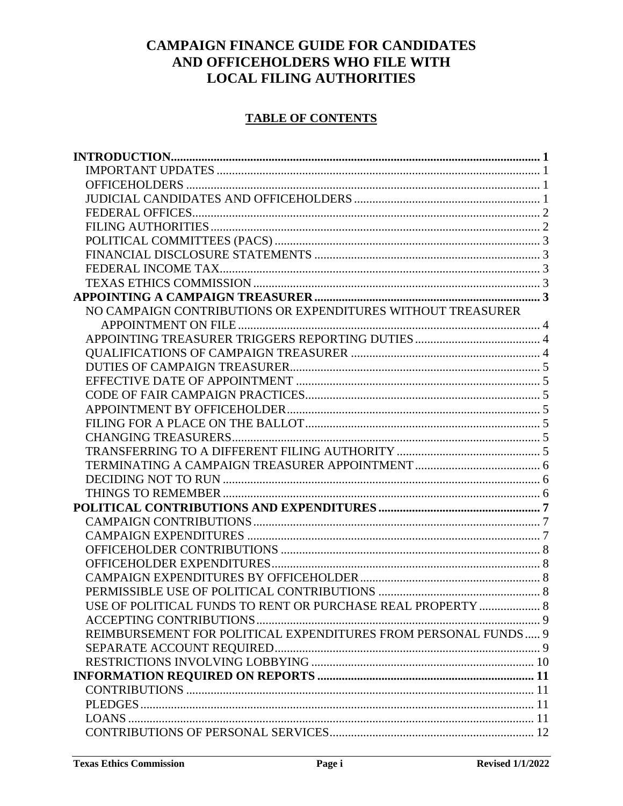# **CAMPAIGN FINANCE GUIDE FOR CANDIDATES** AND OFFICEHOLDERS WHO FILE WITH **LOCAL FILING AUTHORITIES**

### **TABLE OF CONTENTS**

| NO CAMPAIGN CONTRIBUTIONS OR EXPENDITURES WITHOUT TREASURER    |  |
|----------------------------------------------------------------|--|
|                                                                |  |
|                                                                |  |
|                                                                |  |
|                                                                |  |
|                                                                |  |
|                                                                |  |
|                                                                |  |
|                                                                |  |
|                                                                |  |
|                                                                |  |
|                                                                |  |
|                                                                |  |
|                                                                |  |
|                                                                |  |
|                                                                |  |
|                                                                |  |
|                                                                |  |
|                                                                |  |
|                                                                |  |
|                                                                |  |
| USE OF POLITICAL FUNDS TO RENT OR PURCHASE REAL PROPERTY  8    |  |
|                                                                |  |
| REIMBURSEMENT FOR POLITICAL EXPENDITURES FROM PERSONAL FUNDS 9 |  |
|                                                                |  |
|                                                                |  |
|                                                                |  |
|                                                                |  |
|                                                                |  |
|                                                                |  |
|                                                                |  |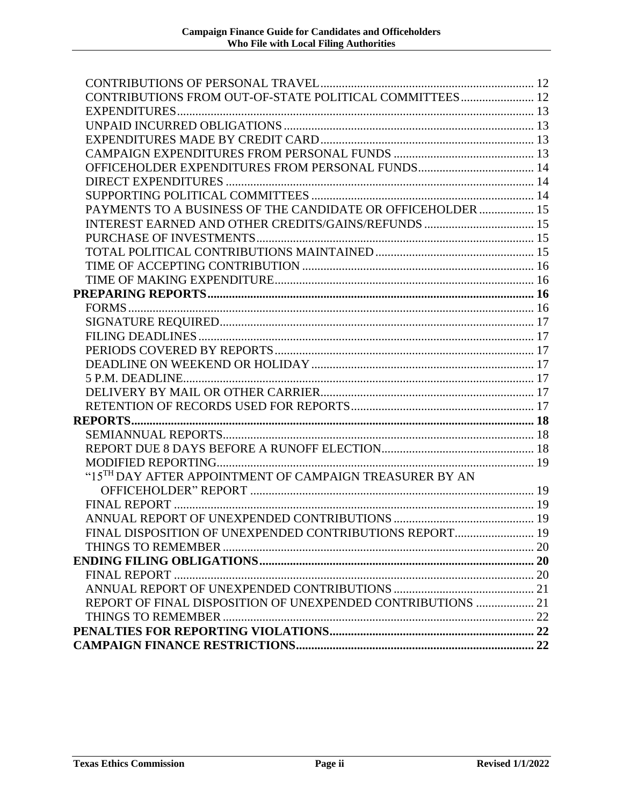| CONTRIBUTIONS FROM OUT-OF-STATE POLITICAL COMMITTEES 12     |  |
|-------------------------------------------------------------|--|
|                                                             |  |
|                                                             |  |
|                                                             |  |
|                                                             |  |
|                                                             |  |
|                                                             |  |
|                                                             |  |
| PAYMENTS TO A BUSINESS OF THE CANDIDATE OR OFFICEHOLDER  15 |  |
| INTEREST EARNED AND OTHER CREDITS/GAINS/REFUNDS  15         |  |
|                                                             |  |
|                                                             |  |
|                                                             |  |
|                                                             |  |
|                                                             |  |
|                                                             |  |
|                                                             |  |
|                                                             |  |
|                                                             |  |
|                                                             |  |
|                                                             |  |
|                                                             |  |
|                                                             |  |
|                                                             |  |
|                                                             |  |
|                                                             |  |
|                                                             |  |
| "15TH DAY AFTER APPOINTMENT OF CAMPAIGN TREASURER BY AN     |  |
|                                                             |  |
|                                                             |  |
|                                                             |  |
| FINAL DISPOSITION OF UNEXPENDED CONTRIBUTIONS REPORT 19     |  |
|                                                             |  |
|                                                             |  |
|                                                             |  |
|                                                             |  |
| REPORT OF FINAL DISPOSITION OF UNEXPENDED CONTRIBUTIONS  21 |  |
|                                                             |  |
|                                                             |  |
|                                                             |  |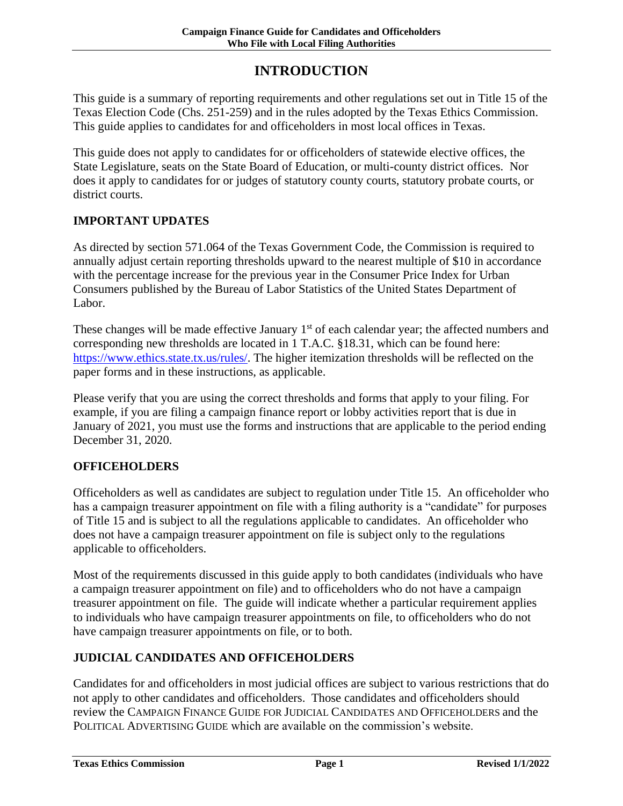# **INTRODUCTION**

<span id="page-3-0"></span>This guide is a summary of reporting requirements and other regulations set out in Title 15 of the Texas Election Code (Chs. 251-259) and in the rules adopted by the Texas Ethics Commission. This guide applies to candidates for and officeholders in most local offices in Texas.

This guide does not apply to candidates for or officeholders of statewide elective offices, the State Legislature, seats on the State Board of Education, or multi-county district offices. Nor does it apply to candidates for or judges of statutory county courts, statutory probate courts, or district courts.

#### <span id="page-3-1"></span>**IMPORTANT UPDATES**

As directed by section 571.064 of the Texas Government Code, the Commission is required to annually adjust certain reporting thresholds upward to the nearest multiple of \$10 in accordance with the percentage increase for the previous year in the Consumer Price Index for Urban Consumers published by the Bureau of Labor Statistics of the United States Department of Labor.

These changes will be made effective January 1<sup>st</sup> of each calendar year; the affected numbers and corresponding new thresholds are located in 1 T.A.C. §18.31, which can be found here: [https://www.ethics.state.tx.us/rules/.](https://www.ethics.state.tx.us/rules/) The higher itemization thresholds will be reflected on the paper forms and in these instructions, as applicable.

Please verify that you are using the correct thresholds and forms that apply to your filing. For example, if you are filing a campaign finance report or lobby activities report that is due in January of 2021, you must use the forms and instructions that are applicable to the period ending December 31, 2020.

#### <span id="page-3-2"></span>**OFFICEHOLDERS**

Officeholders as well as candidates are subject to regulation under Title 15. An officeholder who has a campaign treasurer appointment on file with a filing authority is a "candidate" for purposes of Title 15 and is subject to all the regulations applicable to candidates. An officeholder who does not have a campaign treasurer appointment on file is subject only to the regulations applicable to officeholders.

Most of the requirements discussed in this guide apply to both candidates (individuals who have a campaign treasurer appointment on file) and to officeholders who do not have a campaign treasurer appointment on file. The guide will indicate whether a particular requirement applies to individuals who have campaign treasurer appointments on file, to officeholders who do not have campaign treasurer appointments on file, or to both.

### <span id="page-3-3"></span>**JUDICIAL CANDIDATES AND OFFICEHOLDERS**

Candidates for and officeholders in most judicial offices are subject to various restrictions that do not apply to other candidates and officeholders. Those candidates and officeholders should review the CAMPAIGN FINANCE GUIDE FOR JUDICIAL CANDIDATES AND OFFICEHOLDERS and the POLITICAL ADVERTISING GUIDE which are available on the commission's website.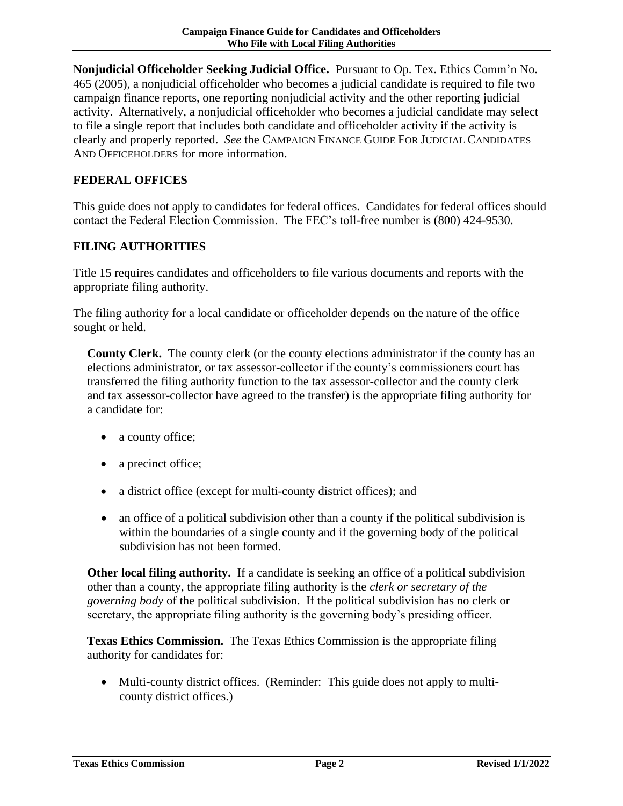**Nonjudicial Officeholder Seeking Judicial Office.** Pursuant to Op. Tex. Ethics Comm'n No. 465 (2005), a nonjudicial officeholder who becomes a judicial candidate is required to file two campaign finance reports, one reporting nonjudicial activity and the other reporting judicial activity. Alternatively, a nonjudicial officeholder who becomes a judicial candidate may select to file a single report that includes both candidate and officeholder activity if the activity is clearly and properly reported. *See* the CAMPAIGN FINANCE GUIDE FOR JUDICIAL CANDIDATES AND OFFICEHOLDERS for more information.

#### <span id="page-4-0"></span>**FEDERAL OFFICES**

This guide does not apply to candidates for federal offices. Candidates for federal offices should contact the Federal Election Commission. The FEC's toll-free number is (800) 424-9530.

#### <span id="page-4-1"></span>**FILING AUTHORITIES**

Title 15 requires candidates and officeholders to file various documents and reports with the appropriate filing authority.

The filing authority for a local candidate or officeholder depends on the nature of the office sought or held.

**County Clerk.** The county clerk (or the county elections administrator if the county has an elections administrator, or tax assessor-collector if the county's commissioners court has transferred the filing authority function to the tax assessor-collector and the county clerk and tax assessor-collector have agreed to the transfer) is the appropriate filing authority for a candidate for:

- a county office;
- a precinct office;
- a district office (except for multi-county district offices); and
- an office of a political subdivision other than a county if the political subdivision is within the boundaries of a single county and if the governing body of the political subdivision has not been formed.

**Other local filing authority.** If a candidate is seeking an office of a political subdivision other than a county, the appropriate filing authority is the *clerk or secretary of the governing body* of the political subdivision. If the political subdivision has no clerk or secretary, the appropriate filing authority is the governing body's presiding officer.

**Texas Ethics Commission.** The Texas Ethics Commission is the appropriate filing authority for candidates for:

 Multi-county district offices. (Reminder: This guide does not apply to multicounty district offices.)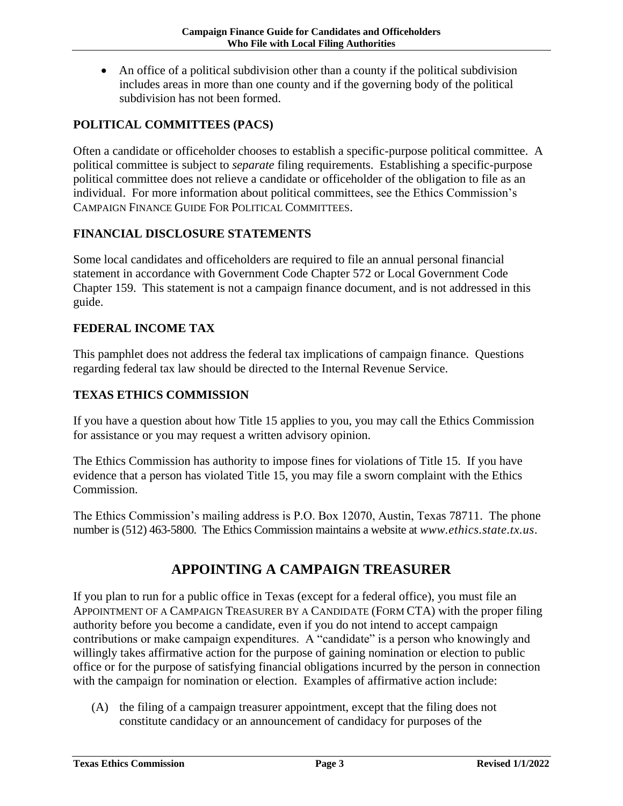An office of a political subdivision other than a county if the political subdivision includes areas in more than one county and if the governing body of the political subdivision has not been formed.

#### <span id="page-5-0"></span>**POLITICAL COMMITTEES (PACS)**

Often a candidate or officeholder chooses to establish a specific-purpose political committee. A political committee is subject to *separate* filing requirements. Establishing a specific-purpose political committee does not relieve a candidate or officeholder of the obligation to file as an individual. For more information about political committees, see the Ethics Commission's CAMPAIGN FINANCE GUIDE FOR POLITICAL COMMITTEES.

#### <span id="page-5-1"></span>**FINANCIAL DISCLOSURE STATEMENTS**

Some local candidates and officeholders are required to file an annual personal financial statement in accordance with Government Code Chapter 572 or Local Government Code Chapter 159. This statement is not a campaign finance document, and is not addressed in this guide.

#### <span id="page-5-2"></span>**FEDERAL INCOME TAX**

This pamphlet does not address the federal tax implications of campaign finance. Questions regarding federal tax law should be directed to the Internal Revenue Service.

#### <span id="page-5-3"></span>**TEXAS ETHICS COMMISSION**

If you have a question about how Title 15 applies to you, you may call the Ethics Commission for assistance or you may request a written advisory opinion.

The Ethics Commission has authority to impose fines for violations of Title 15. If you have evidence that a person has violated Title 15, you may file a sworn complaint with the Ethics Commission.

The Ethics Commission's mailing address is P.O. Box 12070, Austin, Texas 78711. The phone number is (512) 463-5800. The Ethics Commission maintains a website at *www.ethics.state.tx.us.*

## **APPOINTING A CAMPAIGN TREASURER**

<span id="page-5-4"></span>If you plan to run for a public office in Texas (except for a federal office), you must file an APPOINTMENT OF A CAMPAIGN TREASURER BY A CANDIDATE (FORM CTA) with the proper filing authority before you become a candidate, even if you do not intend to accept campaign contributions or make campaign expenditures. A "candidate" is a person who knowingly and willingly takes affirmative action for the purpose of gaining nomination or election to public office or for the purpose of satisfying financial obligations incurred by the person in connection with the campaign for nomination or election. Examples of affirmative action include:

(A) the filing of a campaign treasurer appointment, except that the filing does not constitute candidacy or an announcement of candidacy for purposes of the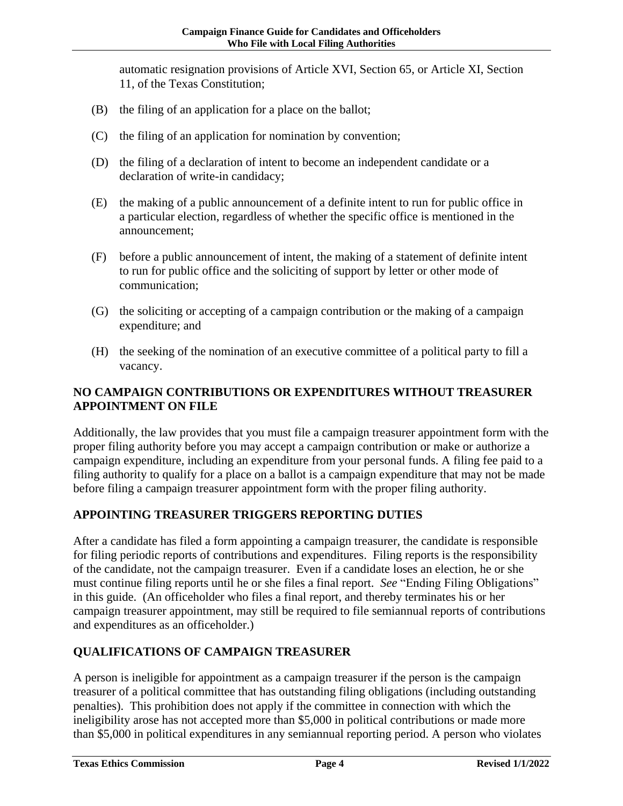automatic resignation provisions of Article XVI, Section 65, or Article XI, Section 11, of the Texas Constitution;

- (B) the filing of an application for a place on the ballot;
- (C) the filing of an application for nomination by convention;
- (D) the filing of a declaration of intent to become an independent candidate or a declaration of write-in candidacy;
- (E) the making of a public announcement of a definite intent to run for public office in a particular election, regardless of whether the specific office is mentioned in the announcement;
- (F) before a public announcement of intent, the making of a statement of definite intent to run for public office and the soliciting of support by letter or other mode of communication;
- (G) the soliciting or accepting of a campaign contribution or the making of a campaign expenditure; and
- (H) the seeking of the nomination of an executive committee of a political party to fill a vacancy.

## <span id="page-6-0"></span>**NO CAMPAIGN CONTRIBUTIONS OR EXPENDITURES WITHOUT TREASURER APPOINTMENT ON FILE**

Additionally, the law provides that you must file a campaign treasurer appointment form with the proper filing authority before you may accept a campaign contribution or make or authorize a campaign expenditure, including an expenditure from your personal funds. A filing fee paid to a filing authority to qualify for a place on a ballot is a campaign expenditure that may not be made before filing a campaign treasurer appointment form with the proper filing authority.

## <span id="page-6-1"></span>**APPOINTING TREASURER TRIGGERS REPORTING DUTIES**

After a candidate has filed a form appointing a campaign treasurer, the candidate is responsible for filing periodic reports of contributions and expenditures. Filing reports is the responsibility of the candidate, not the campaign treasurer. Even if a candidate loses an election, he or she must continue filing reports until he or she files a final report. *See* "Ending Filing Obligations" in this guide. (An officeholder who files a final report, and thereby terminates his or her campaign treasurer appointment, may still be required to file semiannual reports of contributions and expenditures as an officeholder.)

## <span id="page-6-2"></span>**QUALIFICATIONS OF CAMPAIGN TREASURER**

A person is ineligible for appointment as a campaign treasurer if the person is the campaign treasurer of a political committee that has outstanding filing obligations (including outstanding penalties). This prohibition does not apply if the committee in connection with which the ineligibility arose has not accepted more than \$5,000 in political contributions or made more than \$5,000 in political expenditures in any semiannual reporting period. A person who violates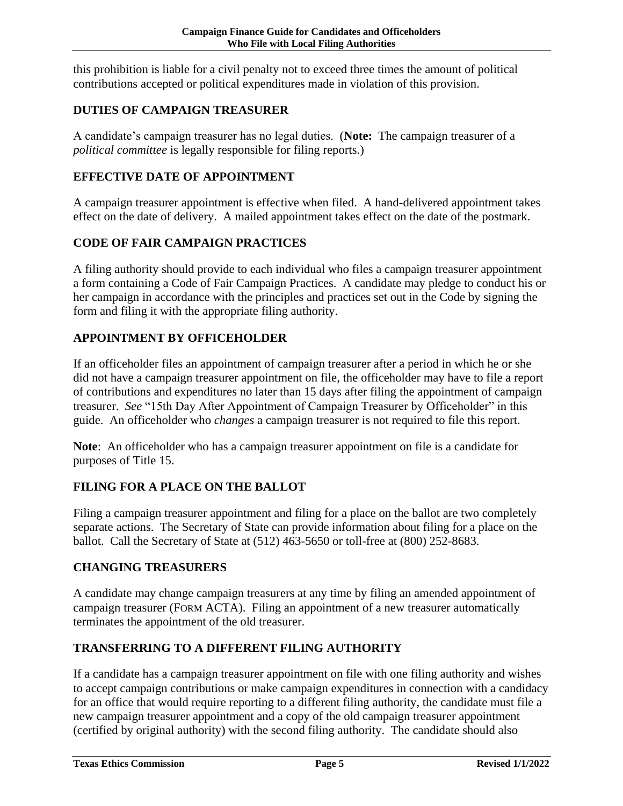this prohibition is liable for a civil penalty not to exceed three times the amount of political contributions accepted or political expenditures made in violation of this provision.

## <span id="page-7-0"></span>**DUTIES OF CAMPAIGN TREASURER**

A candidate's campaign treasurer has no legal duties. (**Note:** The campaign treasurer of a *political committee* is legally responsible for filing reports.)

### <span id="page-7-1"></span>**EFFECTIVE DATE OF APPOINTMENT**

A campaign treasurer appointment is effective when filed. A hand-delivered appointment takes effect on the date of delivery. A mailed appointment takes effect on the date of the postmark.

## <span id="page-7-2"></span>**CODE OF FAIR CAMPAIGN PRACTICES**

A filing authority should provide to each individual who files a campaign treasurer appointment a form containing a Code of Fair Campaign Practices. A candidate may pledge to conduct his or her campaign in accordance with the principles and practices set out in the Code by signing the form and filing it with the appropriate filing authority.

## <span id="page-7-3"></span>**APPOINTMENT BY OFFICEHOLDER**

If an officeholder files an appointment of campaign treasurer after a period in which he or she did not have a campaign treasurer appointment on file, the officeholder may have to file a report of contributions and expenditures no later than 15 days after filing the appointment of campaign treasurer. *See* "15th Day After Appointment of Campaign Treasurer by Officeholder" in this guide. An officeholder who *changes* a campaign treasurer is not required to file this report.

**Note**: An officeholder who has a campaign treasurer appointment on file is a candidate for purposes of Title 15.

## <span id="page-7-4"></span>**FILING FOR A PLACE ON THE BALLOT**

Filing a campaign treasurer appointment and filing for a place on the ballot are two completely separate actions. The Secretary of State can provide information about filing for a place on the ballot. Call the Secretary of State at (512) 463-5650 or toll-free at (800) 252-8683.

### <span id="page-7-5"></span>**CHANGING TREASURERS**

A candidate may change campaign treasurers at any time by filing an amended appointment of campaign treasurer (FORM ACTA). Filing an appointment of a new treasurer automatically terminates the appointment of the old treasurer.

### <span id="page-7-6"></span>**TRANSFERRING TO A DIFFERENT FILING AUTHORITY**

If a candidate has a campaign treasurer appointment on file with one filing authority and wishes to accept campaign contributions or make campaign expenditures in connection with a candidacy for an office that would require reporting to a different filing authority, the candidate must file a new campaign treasurer appointment and a copy of the old campaign treasurer appointment (certified by original authority) with the second filing authority. The candidate should also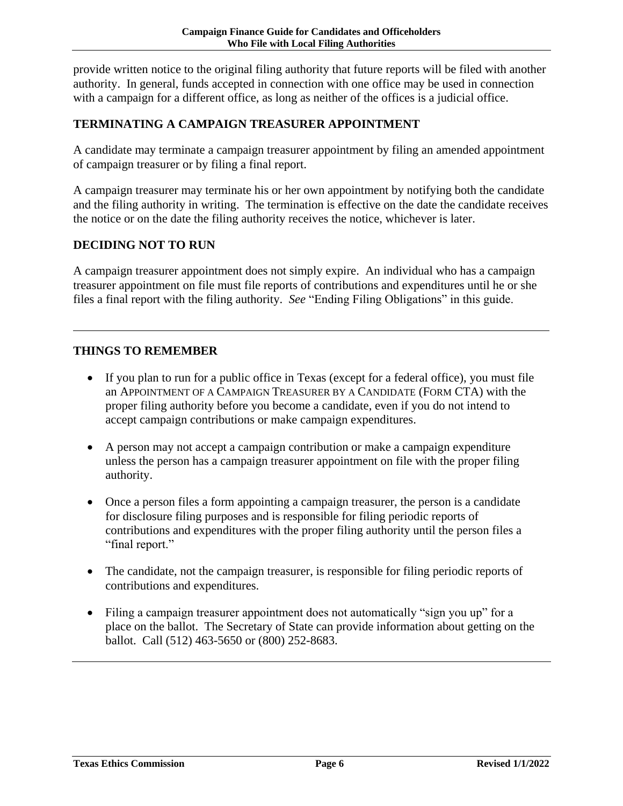provide written notice to the original filing authority that future reports will be filed with another authority. In general, funds accepted in connection with one office may be used in connection with a campaign for a different office, as long as neither of the offices is a judicial office.

#### <span id="page-8-0"></span>**TERMINATING A CAMPAIGN TREASURER APPOINTMENT**

A candidate may terminate a campaign treasurer appointment by filing an amended appointment of campaign treasurer or by filing a final report.

A campaign treasurer may terminate his or her own appointment by notifying both the candidate and the filing authority in writing. The termination is effective on the date the candidate receives the notice or on the date the filing authority receives the notice, whichever is later.

#### <span id="page-8-1"></span>**DECIDING NOT TO RUN**

A campaign treasurer appointment does not simply expire. An individual who has a campaign treasurer appointment on file must file reports of contributions and expenditures until he or she files a final report with the filing authority. *See* "Ending Filing Obligations" in this guide.

#### <span id="page-8-2"></span>**THINGS TO REMEMBER**

- If you plan to run for a public office in Texas (except for a federal office), you must file an APPOINTMENT OF A CAMPAIGN TREASURER BY A CANDIDATE (FORM CTA) with the proper filing authority before you become a candidate, even if you do not intend to accept campaign contributions or make campaign expenditures.
- A person may not accept a campaign contribution or make a campaign expenditure unless the person has a campaign treasurer appointment on file with the proper filing authority.
- Once a person files a form appointing a campaign treasurer, the person is a candidate for disclosure filing purposes and is responsible for filing periodic reports of contributions and expenditures with the proper filing authority until the person files a "final report."
- The candidate, not the campaign treasurer, is responsible for filing periodic reports of contributions and expenditures.
- Filing a campaign treasurer appointment does not automatically "sign you up" for a place on the ballot. The Secretary of State can provide information about getting on the ballot. Call (512) 463-5650 or (800) 252-8683.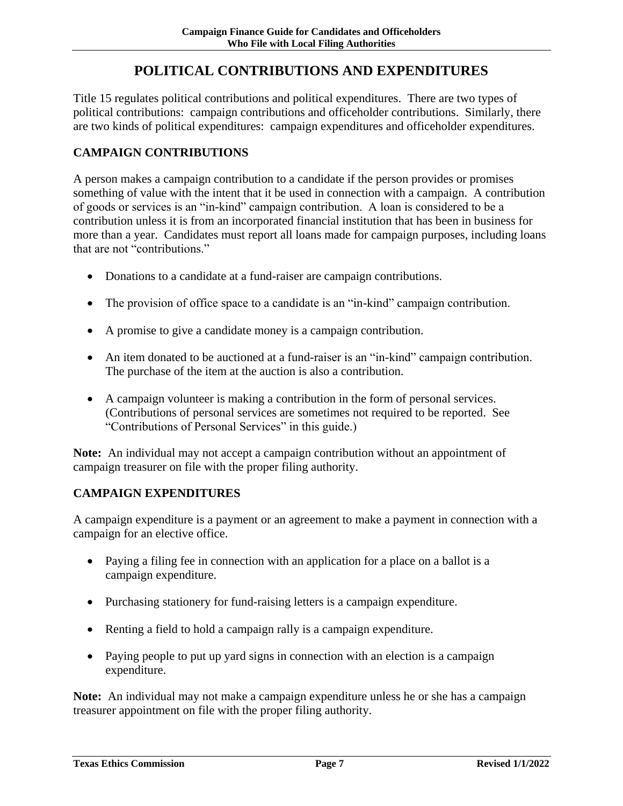# **POLITICAL CONTRIBUTIONS AND EXPENDITURES**

<span id="page-9-0"></span>Title 15 regulates political contributions and political expenditures. There are two types of political contributions: campaign contributions and officeholder contributions. Similarly, there are two kinds of political expenditures: campaign expenditures and officeholder expenditures.

#### <span id="page-9-1"></span>**CAMPAIGN CONTRIBUTIONS**

A person makes a campaign contribution to a candidate if the person provides or promises something of value with the intent that it be used in connection with a campaign. A contribution of goods or services is an "in-kind" campaign contribution. A loan is considered to be a contribution unless it is from an incorporated financial institution that has been in business for more than a year. Candidates must report all loans made for campaign purposes, including loans that are not "contributions."

- Donations to a candidate at a fund-raiser are campaign contributions.
- The provision of office space to a candidate is an "in-kind" campaign contribution.
- A promise to give a candidate money is a campaign contribution.
- An item donated to be auctioned at a fund-raiser is an "in-kind" campaign contribution. The purchase of the item at the auction is also a contribution.
- A campaign volunteer is making a contribution in the form of personal services. (Contributions of personal services are sometimes not required to be reported. See "Contributions of Personal Services" in this guide.)

**Note:** An individual may not accept a campaign contribution without an appointment of campaign treasurer on file with the proper filing authority.

#### <span id="page-9-2"></span>**CAMPAIGN EXPENDITURES**

A campaign expenditure is a payment or an agreement to make a payment in connection with a campaign for an elective office.

- Paying a filing fee in connection with an application for a place on a ballot is a campaign expenditure.
- Purchasing stationery for fund-raising letters is a campaign expenditure.
- Renting a field to hold a campaign rally is a campaign expenditure.
- Paying people to put up yard signs in connection with an election is a campaign expenditure.

**Note:** An individual may not make a campaign expenditure unless he or she has a campaign treasurer appointment on file with the proper filing authority.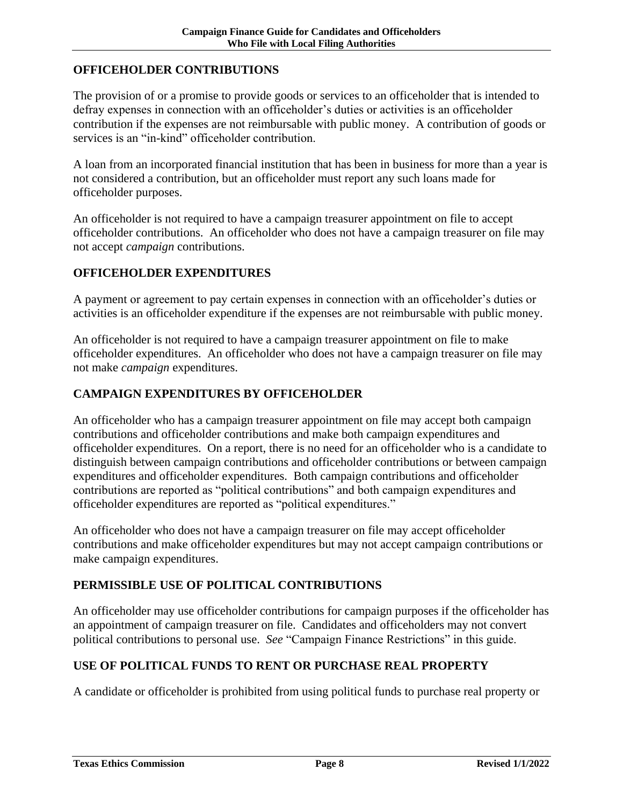#### <span id="page-10-0"></span>**OFFICEHOLDER CONTRIBUTIONS**

The provision of or a promise to provide goods or services to an officeholder that is intended to defray expenses in connection with an officeholder's duties or activities is an officeholder contribution if the expenses are not reimbursable with public money. A contribution of goods or services is an "in-kind" officeholder contribution.

A loan from an incorporated financial institution that has been in business for more than a year is not considered a contribution, but an officeholder must report any such loans made for officeholder purposes.

An officeholder is not required to have a campaign treasurer appointment on file to accept officeholder contributions. An officeholder who does not have a campaign treasurer on file may not accept *campaign* contributions.

#### <span id="page-10-1"></span>**OFFICEHOLDER EXPENDITURES**

A payment or agreement to pay certain expenses in connection with an officeholder's duties or activities is an officeholder expenditure if the expenses are not reimbursable with public money.

An officeholder is not required to have a campaign treasurer appointment on file to make officeholder expenditures. An officeholder who does not have a campaign treasurer on file may not make *campaign* expenditures.

#### <span id="page-10-2"></span>**CAMPAIGN EXPENDITURES BY OFFICEHOLDER**

An officeholder who has a campaign treasurer appointment on file may accept both campaign contributions and officeholder contributions and make both campaign expenditures and officeholder expenditures. On a report, there is no need for an officeholder who is a candidate to distinguish between campaign contributions and officeholder contributions or between campaign expenditures and officeholder expenditures. Both campaign contributions and officeholder contributions are reported as "political contributions" and both campaign expenditures and officeholder expenditures are reported as "political expenditures."

An officeholder who does not have a campaign treasurer on file may accept officeholder contributions and make officeholder expenditures but may not accept campaign contributions or make campaign expenditures.

#### <span id="page-10-3"></span>**PERMISSIBLE USE OF POLITICAL CONTRIBUTIONS**

An officeholder may use officeholder contributions for campaign purposes if the officeholder has an appointment of campaign treasurer on file. Candidates and officeholders may not convert political contributions to personal use. *See* "Campaign Finance Restrictions" in this guide.

#### <span id="page-10-4"></span>**USE OF POLITICAL FUNDS TO RENT OR PURCHASE REAL PROPERTY**

A candidate or officeholder is prohibited from using political funds to purchase real property or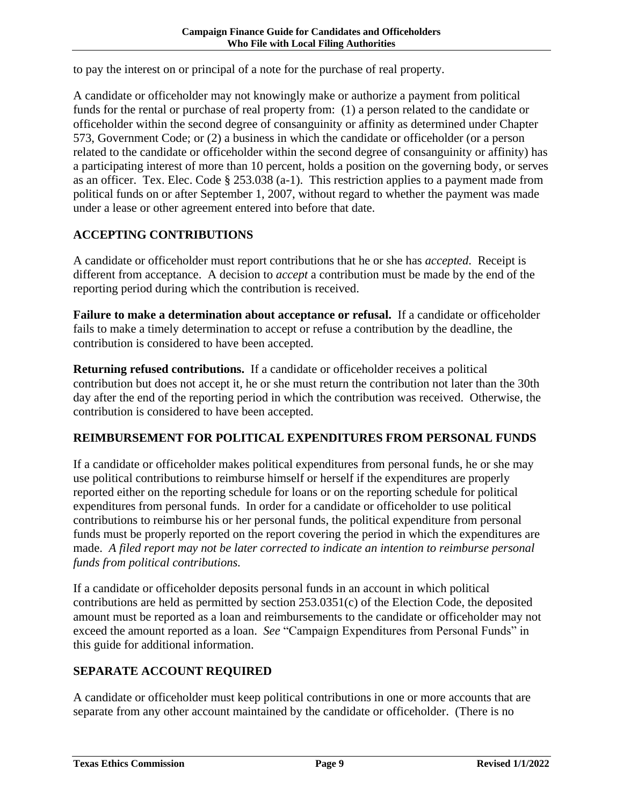to pay the interest on or principal of a note for the purchase of real property.

A candidate or officeholder may not knowingly make or authorize a payment from political funds for the rental or purchase of real property from: (1) a person related to the candidate or officeholder within the second degree of consanguinity or affinity as determined under Chapter 573, Government Code; or (2) a business in which the candidate or officeholder (or a person related to the candidate or officeholder within the second degree of consanguinity or affinity) has a participating interest of more than 10 percent, holds a position on the governing body, or serves as an officer. Tex. Elec. Code § 253.038 (a-1). This restriction applies to a payment made from political funds on or after September 1, 2007, without regard to whether the payment was made under a lease or other agreement entered into before that date.

## <span id="page-11-0"></span>**ACCEPTING CONTRIBUTIONS**

A candidate or officeholder must report contributions that he or she has *accepted*. Receipt is different from acceptance. A decision to *accept* a contribution must be made by the end of the reporting period during which the contribution is received.

**Failure to make a determination about acceptance or refusal.** If a candidate or officeholder fails to make a timely determination to accept or refuse a contribution by the deadline, the contribution is considered to have been accepted.

**Returning refused contributions.** If a candidate or officeholder receives a political contribution but does not accept it, he or she must return the contribution not later than the 30th day after the end of the reporting period in which the contribution was received. Otherwise, the contribution is considered to have been accepted.

### <span id="page-11-1"></span>**REIMBURSEMENT FOR POLITICAL EXPENDITURES FROM PERSONAL FUNDS**

If a candidate or officeholder makes political expenditures from personal funds, he or she may use political contributions to reimburse himself or herself if the expenditures are properly reported either on the reporting schedule for loans or on the reporting schedule for political expenditures from personal funds. In order for a candidate or officeholder to use political contributions to reimburse his or her personal funds, the political expenditure from personal funds must be properly reported on the report covering the period in which the expenditures are made. *A filed report may not be later corrected to indicate an intention to reimburse personal funds from political contributions.*

If a candidate or officeholder deposits personal funds in an account in which political contributions are held as permitted by section 253.0351(c) of the Election Code, the deposited amount must be reported as a loan and reimbursements to the candidate or officeholder may not exceed the amount reported as a loan. *See* "Campaign Expenditures from Personal Funds" in this guide for additional information.

### <span id="page-11-2"></span>**SEPARATE ACCOUNT REQUIRED**

A candidate or officeholder must keep political contributions in one or more accounts that are separate from any other account maintained by the candidate or officeholder. (There is no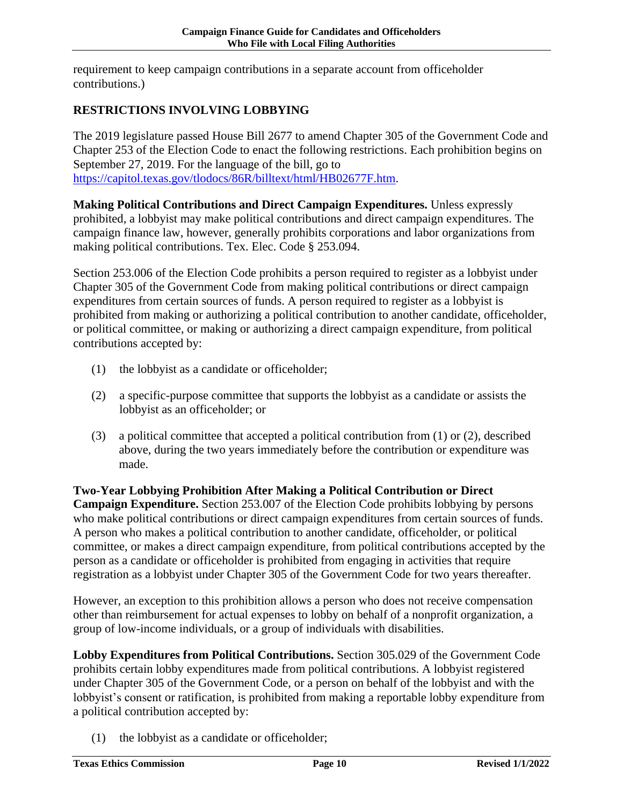requirement to keep campaign contributions in a separate account from officeholder contributions.)

## <span id="page-12-0"></span>**RESTRICTIONS INVOLVING LOBBYING**

The 2019 legislature passed House Bill 2677 to amend Chapter 305 of the Government Code and Chapter 253 of the Election Code to enact the following restrictions. Each prohibition begins on September 27, 2019. For the language of the bill, go to [https://capitol.texas.gov/tlodocs/86R/billtext/html/HB02677F.htm.](https://capitol.texas.gov/tlodocs/86R/billtext/html/HB02677F.htm)

**Making Political Contributions and Direct Campaign Expenditures.** Unless expressly prohibited, a lobbyist may make political contributions and direct campaign expenditures. The campaign finance law, however, generally prohibits corporations and labor organizations from making political contributions. Tex. Elec. Code § 253.094.

Section 253.006 of the Election Code prohibits a person required to register as a lobbyist under Chapter 305 of the Government Code from making political contributions or direct campaign expenditures from certain sources of funds. A person required to register as a lobbyist is prohibited from making or authorizing a political contribution to another candidate, officeholder, or political committee, or making or authorizing a direct campaign expenditure, from political contributions accepted by:

- (1) the lobbyist as a candidate or officeholder;
- (2) a specific-purpose committee that supports the lobbyist as a candidate or assists the lobbyist as an officeholder; or
- (3) a political committee that accepted a political contribution from (1) or (2), described above, during the two years immediately before the contribution or expenditure was made.

**Two-Year Lobbying Prohibition After Making a Political Contribution or Direct Campaign Expenditure.** Section 253.007 of the Election Code prohibits lobbying by persons who make political contributions or direct campaign expenditures from certain sources of funds. A person who makes a political contribution to another candidate, officeholder, or political committee, or makes a direct campaign expenditure, from political contributions accepted by the person as a candidate or officeholder is prohibited from engaging in activities that require registration as a lobbyist under Chapter 305 of the Government Code for two years thereafter.

However, an exception to this prohibition allows a person who does not receive compensation other than reimbursement for actual expenses to lobby on behalf of a nonprofit organization, a group of low-income individuals, or a group of individuals with disabilities.

**Lobby Expenditures from Political Contributions.** Section 305.029 of the Government Code prohibits certain lobby expenditures made from political contributions. A lobbyist registered under Chapter 305 of the Government Code, or a person on behalf of the lobbyist and with the lobbyist's consent or ratification, is prohibited from making a reportable lobby expenditure from a political contribution accepted by:

(1) the lobbyist as a candidate or officeholder;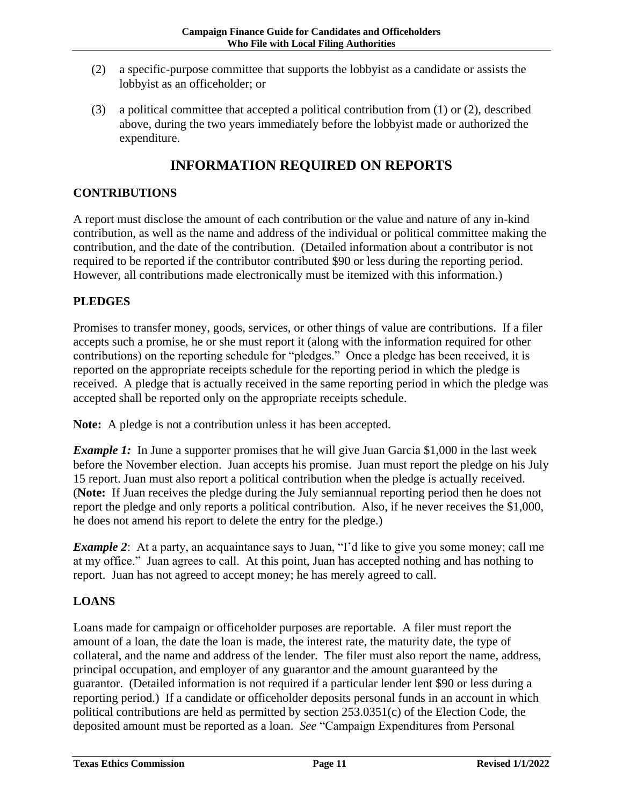- (2) a specific-purpose committee that supports the lobbyist as a candidate or assists the lobbyist as an officeholder; or
- (3) a political committee that accepted a political contribution from (1) or (2), described above, during the two years immediately before the lobbyist made or authorized the expenditure.

# **INFORMATION REQUIRED ON REPORTS**

#### <span id="page-13-1"></span><span id="page-13-0"></span>**CONTRIBUTIONS**

A report must disclose the amount of each contribution or the value and nature of any in-kind contribution, as well as the name and address of the individual or political committee making the contribution, and the date of the contribution. (Detailed information about a contributor is not required to be reported if the contributor contributed \$90 or less during the reporting period. However, all contributions made electronically must be itemized with this information.)

#### <span id="page-13-2"></span>**PLEDGES**

Promises to transfer money, goods, services, or other things of value are contributions. If a filer accepts such a promise, he or she must report it (along with the information required for other contributions) on the reporting schedule for "pledges." Once a pledge has been received, it is reported on the appropriate receipts schedule for the reporting period in which the pledge is received. A pledge that is actually received in the same reporting period in which the pledge was accepted shall be reported only on the appropriate receipts schedule.

**Note:** A pledge is not a contribution unless it has been accepted.

*Example 1*: In June a supporter promises that he will give Juan Garcia \$1,000 in the last week before the November election. Juan accepts his promise. Juan must report the pledge on his July 15 report. Juan must also report a political contribution when the pledge is actually received. (**Note:** If Juan receives the pledge during the July semiannual reporting period then he does not report the pledge and only reports a political contribution. Also, if he never receives the \$1,000, he does not amend his report to delete the entry for the pledge.)

*Example 2*: At a party, an acquaintance says to Juan, "I'd like to give you some money; call me at my office." Juan agrees to call. At this point, Juan has accepted nothing and has nothing to report. Juan has not agreed to accept money; he has merely agreed to call.

### <span id="page-13-3"></span>**LOANS**

Loans made for campaign or officeholder purposes are reportable. A filer must report the amount of a loan, the date the loan is made, the interest rate, the maturity date, the type of collateral, and the name and address of the lender. The filer must also report the name, address, principal occupation, and employer of any guarantor and the amount guaranteed by the guarantor. (Detailed information is not required if a particular lender lent \$90 or less during a reporting period.) If a candidate or officeholder deposits personal funds in an account in which political contributions are held as permitted by section 253.0351(c) of the Election Code, the deposited amount must be reported as a loan. *See* "Campaign Expenditures from Personal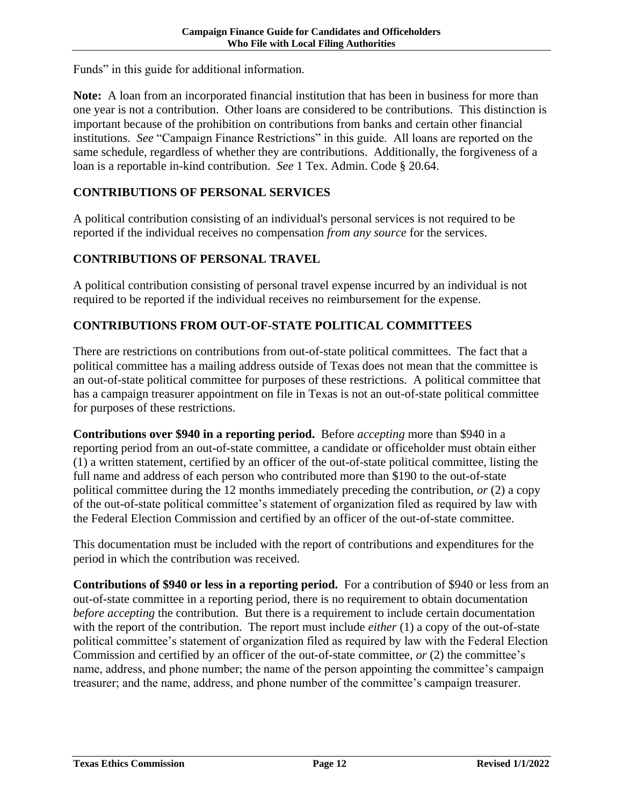Funds" in this guide for additional information.

**Note:** A loan from an incorporated financial institution that has been in business for more than one year is not a contribution. Other loans are considered to be contributions. This distinction is important because of the prohibition on contributions from banks and certain other financial institutions. *See* "Campaign Finance Restrictions" in this guide. All loans are reported on the same schedule, regardless of whether they are contributions. Additionally, the forgiveness of a loan is a reportable in-kind contribution. *See* 1 Tex. Admin. Code § 20.64.

#### <span id="page-14-0"></span>**CONTRIBUTIONS OF PERSONAL SERVICES**

A political contribution consisting of an individual's personal services is not required to be reported if the individual receives no compensation *from any source* for the services.

#### <span id="page-14-1"></span>**CONTRIBUTIONS OF PERSONAL TRAVEL**

A political contribution consisting of personal travel expense incurred by an individual is not required to be reported if the individual receives no reimbursement for the expense.

#### <span id="page-14-2"></span>**CONTRIBUTIONS FROM OUT-OF-STATE POLITICAL COMMITTEES**

There are restrictions on contributions from out-of-state political committees. The fact that a political committee has a mailing address outside of Texas does not mean that the committee is an out-of-state political committee for purposes of these restrictions. A political committee that has a campaign treasurer appointment on file in Texas is not an out-of-state political committee for purposes of these restrictions.

**Contributions over \$940 in a reporting period.** Before *accepting* more than \$940 in a reporting period from an out-of-state committee, a candidate or officeholder must obtain either (1) a written statement, certified by an officer of the out-of-state political committee, listing the full name and address of each person who contributed more than \$190 to the out-of-state political committee during the 12 months immediately preceding the contribution, *or* (2) a copy of the out-of-state political committee's statement of organization filed as required by law with the Federal Election Commission and certified by an officer of the out-of-state committee.

This documentation must be included with the report of contributions and expenditures for the period in which the contribution was received.

**Contributions of \$940 or less in a reporting period.** For a contribution of \$940 or less from an out-of-state committee in a reporting period, there is no requirement to obtain documentation *before accepting* the contribution. But there is a requirement to include certain documentation with the report of the contribution. The report must include *either* (1) a copy of the out-of-state political committee's statement of organization filed as required by law with the Federal Election Commission and certified by an officer of the out-of-state committee, *or* (2) the committee's name, address, and phone number; the name of the person appointing the committee's campaign treasurer; and the name, address, and phone number of the committee's campaign treasurer.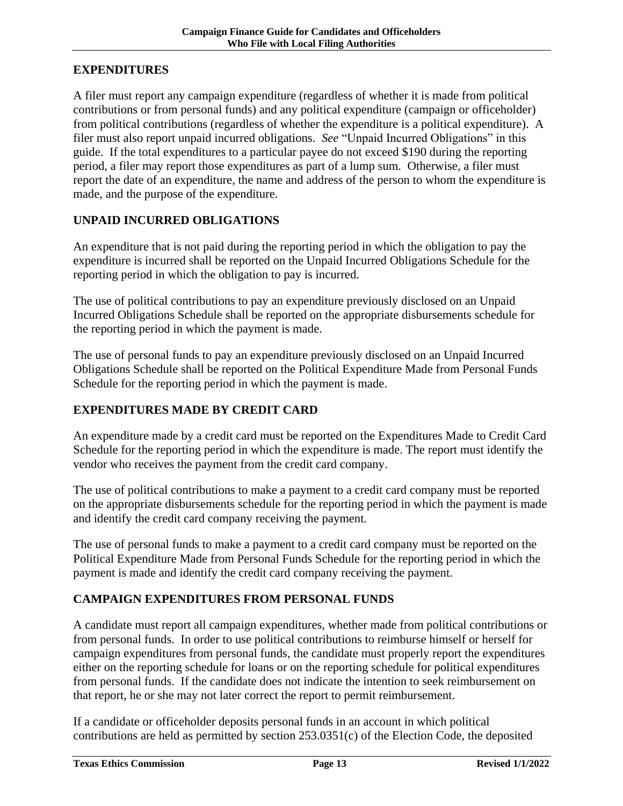## <span id="page-15-0"></span>**EXPENDITURES**

A filer must report any campaign expenditure (regardless of whether it is made from political contributions or from personal funds) and any political expenditure (campaign or officeholder) from political contributions (regardless of whether the expenditure is a political expenditure). A filer must also report unpaid incurred obligations. *See* "Unpaid Incurred Obligations" in this guide. If the total expenditures to a particular payee do not exceed \$190 during the reporting period, a filer may report those expenditures as part of a lump sum. Otherwise, a filer must report the date of an expenditure, the name and address of the person to whom the expenditure is made, and the purpose of the expenditure.

#### <span id="page-15-1"></span>**UNPAID INCURRED OBLIGATIONS**

An expenditure that is not paid during the reporting period in which the obligation to pay the expenditure is incurred shall be reported on the Unpaid Incurred Obligations Schedule for the reporting period in which the obligation to pay is incurred.

The use of political contributions to pay an expenditure previously disclosed on an Unpaid Incurred Obligations Schedule shall be reported on the appropriate disbursements schedule for the reporting period in which the payment is made.

The use of personal funds to pay an expenditure previously disclosed on an Unpaid Incurred Obligations Schedule shall be reported on the Political Expenditure Made from Personal Funds Schedule for the reporting period in which the payment is made.

#### <span id="page-15-2"></span>**EXPENDITURES MADE BY CREDIT CARD**

An expenditure made by a credit card must be reported on the Expenditures Made to Credit Card Schedule for the reporting period in which the expenditure is made. The report must identify the vendor who receives the payment from the credit card company.

The use of political contributions to make a payment to a credit card company must be reported on the appropriate disbursements schedule for the reporting period in which the payment is made and identify the credit card company receiving the payment.

The use of personal funds to make a payment to a credit card company must be reported on the Political Expenditure Made from Personal Funds Schedule for the reporting period in which the payment is made and identify the credit card company receiving the payment.

### <span id="page-15-3"></span>**CAMPAIGN EXPENDITURES FROM PERSONAL FUNDS**

A candidate must report all campaign expenditures, whether made from political contributions or from personal funds. In order to use political contributions to reimburse himself or herself for campaign expenditures from personal funds, the candidate must properly report the expenditures either on the reporting schedule for loans or on the reporting schedule for political expenditures from personal funds. If the candidate does not indicate the intention to seek reimbursement on that report, he or she may not later correct the report to permit reimbursement.

If a candidate or officeholder deposits personal funds in an account in which political contributions are held as permitted by section 253.0351(c) of the Election Code, the deposited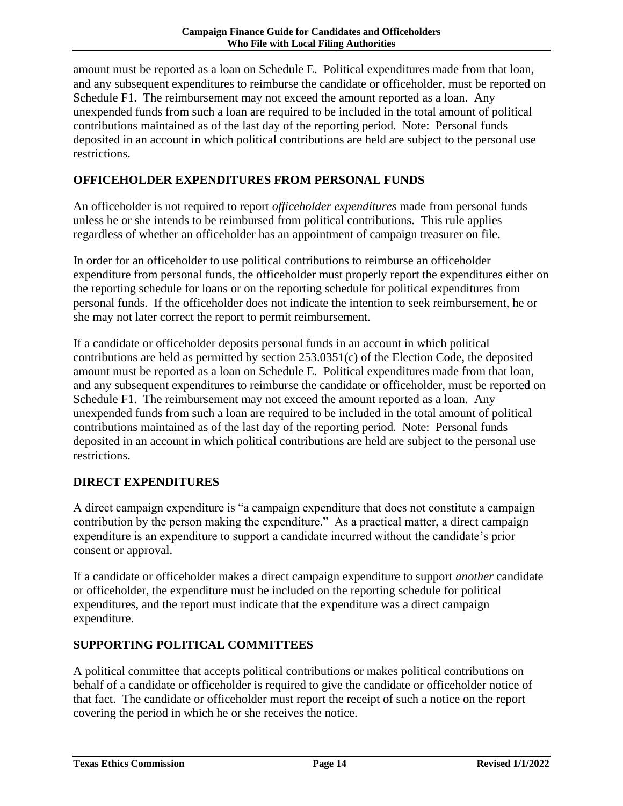amount must be reported as a loan on Schedule E. Political expenditures made from that loan, and any subsequent expenditures to reimburse the candidate or officeholder, must be reported on Schedule F1. The reimbursement may not exceed the amount reported as a loan. Any unexpended funds from such a loan are required to be included in the total amount of political contributions maintained as of the last day of the reporting period. Note: Personal funds deposited in an account in which political contributions are held are subject to the personal use restrictions.

#### <span id="page-16-0"></span>**OFFICEHOLDER EXPENDITURES FROM PERSONAL FUNDS**

An officeholder is not required to report *officeholder expenditures* made from personal funds unless he or she intends to be reimbursed from political contributions. This rule applies regardless of whether an officeholder has an appointment of campaign treasurer on file.

In order for an officeholder to use political contributions to reimburse an officeholder expenditure from personal funds, the officeholder must properly report the expenditures either on the reporting schedule for loans or on the reporting schedule for political expenditures from personal funds. If the officeholder does not indicate the intention to seek reimbursement, he or she may not later correct the report to permit reimbursement.

If a candidate or officeholder deposits personal funds in an account in which political contributions are held as permitted by section 253.0351(c) of the Election Code, the deposited amount must be reported as a loan on Schedule E. Political expenditures made from that loan, and any subsequent expenditures to reimburse the candidate or officeholder, must be reported on Schedule F1. The reimbursement may not exceed the amount reported as a loan. Any unexpended funds from such a loan are required to be included in the total amount of political contributions maintained as of the last day of the reporting period. Note: Personal funds deposited in an account in which political contributions are held are subject to the personal use restrictions.

#### <span id="page-16-1"></span>**DIRECT EXPENDITURES**

A direct campaign expenditure is "a campaign expenditure that does not constitute a campaign contribution by the person making the expenditure." As a practical matter, a direct campaign expenditure is an expenditure to support a candidate incurred without the candidate's prior consent or approval.

If a candidate or officeholder makes a direct campaign expenditure to support *another* candidate or officeholder, the expenditure must be included on the reporting schedule for political expenditures, and the report must indicate that the expenditure was a direct campaign expenditure.

#### <span id="page-16-2"></span>**SUPPORTING POLITICAL COMMITTEES**

A political committee that accepts political contributions or makes political contributions on behalf of a candidate or officeholder is required to give the candidate or officeholder notice of that fact. The candidate or officeholder must report the receipt of such a notice on the report covering the period in which he or she receives the notice.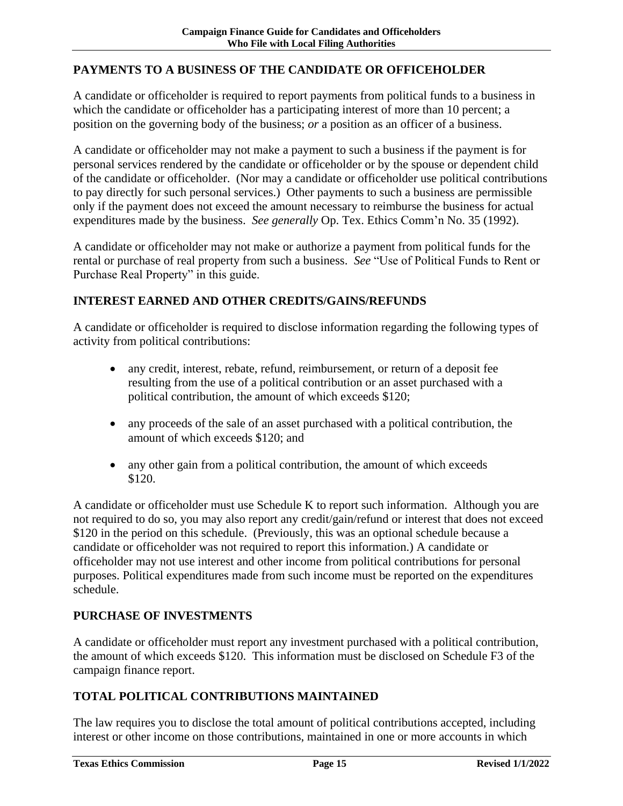#### <span id="page-17-0"></span>**PAYMENTS TO A BUSINESS OF THE CANDIDATE OR OFFICEHOLDER**

A candidate or officeholder is required to report payments from political funds to a business in which the candidate or officeholder has a participating interest of more than 10 percent; a position on the governing body of the business; *or* a position as an officer of a business.

A candidate or officeholder may not make a payment to such a business if the payment is for personal services rendered by the candidate or officeholder or by the spouse or dependent child of the candidate or officeholder. (Nor may a candidate or officeholder use political contributions to pay directly for such personal services.) Other payments to such a business are permissible only if the payment does not exceed the amount necessary to reimburse the business for actual expenditures made by the business. *See generally* Op. Tex. Ethics Comm'n No. 35 (1992).

A candidate or officeholder may not make or authorize a payment from political funds for the rental or purchase of real property from such a business. *See* "Use of Political Funds to Rent or Purchase Real Property" in this guide.

#### <span id="page-17-1"></span>**INTEREST EARNED AND OTHER CREDITS/GAINS/REFUNDS**

A candidate or officeholder is required to disclose information regarding the following types of activity from political contributions:

- any credit, interest, rebate, refund, reimbursement, or return of a deposit fee resulting from the use of a political contribution or an asset purchased with a political contribution, the amount of which exceeds \$120;
- any proceeds of the sale of an asset purchased with a political contribution, the amount of which exceeds \$120; and
- any other gain from a political contribution, the amount of which exceeds \$120.

A candidate or officeholder must use Schedule K to report such information. Although you are not required to do so, you may also report any credit/gain/refund or interest that does not exceed \$120 in the period on this schedule. (Previously, this was an optional schedule because a candidate or officeholder was not required to report this information.) A candidate or officeholder may not use interest and other income from political contributions for personal purposes. Political expenditures made from such income must be reported on the expenditures schedule.

### <span id="page-17-2"></span>**PURCHASE OF INVESTMENTS**

A candidate or officeholder must report any investment purchased with a political contribution, the amount of which exceeds \$120. This information must be disclosed on Schedule F3 of the campaign finance report.

### <span id="page-17-3"></span>**TOTAL POLITICAL CONTRIBUTIONS MAINTAINED**

The law requires you to disclose the total amount of political contributions accepted, including interest or other income on those contributions, maintained in one or more accounts in which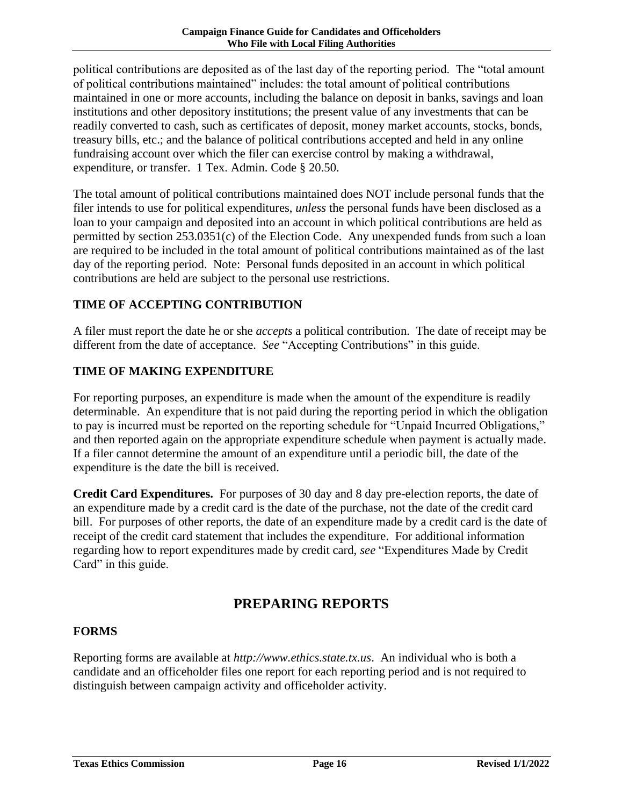political contributions are deposited as of the last day of the reporting period. The "total amount of political contributions maintained" includes: the total amount of political contributions maintained in one or more accounts, including the balance on deposit in banks, savings and loan institutions and other depository institutions; the present value of any investments that can be readily converted to cash, such as certificates of deposit, money market accounts, stocks, bonds, treasury bills, etc.; and the balance of political contributions accepted and held in any online fundraising account over which the filer can exercise control by making a withdrawal, expenditure, or transfer. 1 Tex. Admin. Code § 20.50.

The total amount of political contributions maintained does NOT include personal funds that the filer intends to use for political expenditures, *unless* the personal funds have been disclosed as a loan to your campaign and deposited into an account in which political contributions are held as permitted by section 253.0351(c) of the Election Code. Any unexpended funds from such a loan are required to be included in the total amount of political contributions maintained as of the last day of the reporting period. Note: Personal funds deposited in an account in which political contributions are held are subject to the personal use restrictions.

### <span id="page-18-0"></span>**TIME OF ACCEPTING CONTRIBUTION**

A filer must report the date he or she *accepts* a political contribution. The date of receipt may be different from the date of acceptance. *See* "Accepting Contributions" in this guide.

### <span id="page-18-1"></span>**TIME OF MAKING EXPENDITURE**

For reporting purposes, an expenditure is made when the amount of the expenditure is readily determinable. An expenditure that is not paid during the reporting period in which the obligation to pay is incurred must be reported on the reporting schedule for "Unpaid Incurred Obligations," and then reported again on the appropriate expenditure schedule when payment is actually made. If a filer cannot determine the amount of an expenditure until a periodic bill, the date of the expenditure is the date the bill is received.

**Credit Card Expenditures.** For purposes of 30 day and 8 day pre-election reports, the date of an expenditure made by a credit card is the date of the purchase, not the date of the credit card bill. For purposes of other reports, the date of an expenditure made by a credit card is the date of receipt of the credit card statement that includes the expenditure. For additional information regarding how to report expenditures made by credit card, *see* "Expenditures Made by Credit Card" in this guide.

# **PREPARING REPORTS**

#### <span id="page-18-3"></span><span id="page-18-2"></span>**FORMS**

Reporting forms are available at *http://www.ethics.state.tx.us*. An individual who is both a candidate and an officeholder files one report for each reporting period and is not required to distinguish between campaign activity and officeholder activity.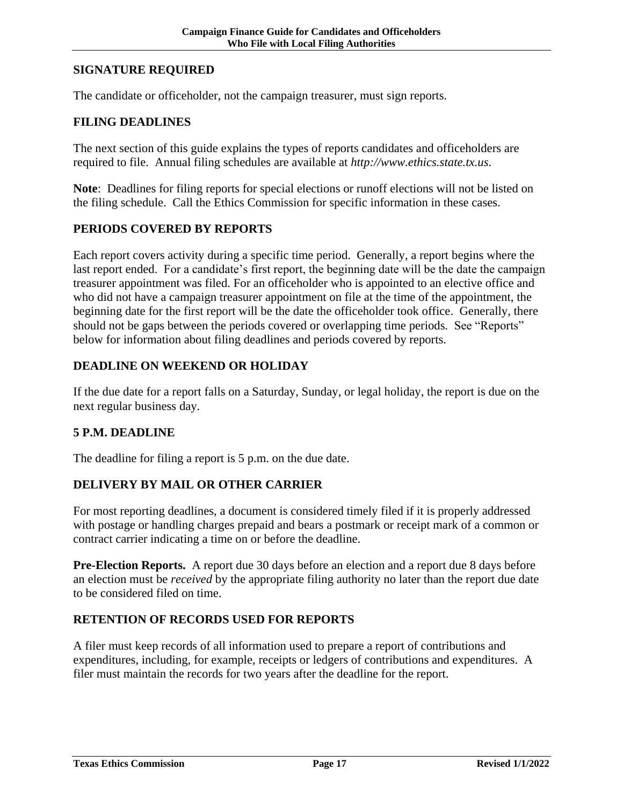#### <span id="page-19-0"></span>**SIGNATURE REQUIRED**

The candidate or officeholder, not the campaign treasurer, must sign reports.

#### <span id="page-19-1"></span>**FILING DEADLINES**

The next section of this guide explains the types of reports candidates and officeholders are required to file. Annual filing schedules are available at *http://www.ethics.state.tx.us*.

**Note**: Deadlines for filing reports for special elections or runoff elections will not be listed on the filing schedule. Call the Ethics Commission for specific information in these cases.

#### <span id="page-19-2"></span>**PERIODS COVERED BY REPORTS**

Each report covers activity during a specific time period. Generally, a report begins where the last report ended. For a candidate's first report, the beginning date will be the date the campaign treasurer appointment was filed. For an officeholder who is appointed to an elective office and who did not have a campaign treasurer appointment on file at the time of the appointment, the beginning date for the first report will be the date the officeholder took office. Generally, there should not be gaps between the periods covered or overlapping time periods*.* See "Reports" below for information about filing deadlines and periods covered by reports.

#### <span id="page-19-3"></span>**DEADLINE ON WEEKEND OR HOLIDAY**

If the due date for a report falls on a Saturday, Sunday, or legal holiday, the report is due on the next regular business day.

#### <span id="page-19-4"></span>**5 P.M. DEADLINE**

The deadline for filing a report is 5 p.m. on the due date.

#### <span id="page-19-5"></span>**DELIVERY BY MAIL OR OTHER CARRIER**

For most reporting deadlines, a document is considered timely filed if it is properly addressed with postage or handling charges prepaid and bears a postmark or receipt mark of a common or contract carrier indicating a time on or before the deadline.

**Pre-Election Reports.** A report due 30 days before an election and a report due 8 days before an election must be *received* by the appropriate filing authority no later than the report due date to be considered filed on time.

#### <span id="page-19-6"></span>**RETENTION OF RECORDS USED FOR REPORTS**

A filer must keep records of all information used to prepare a report of contributions and expenditures, including, for example, receipts or ledgers of contributions and expenditures. A filer must maintain the records for two years after the deadline for the report.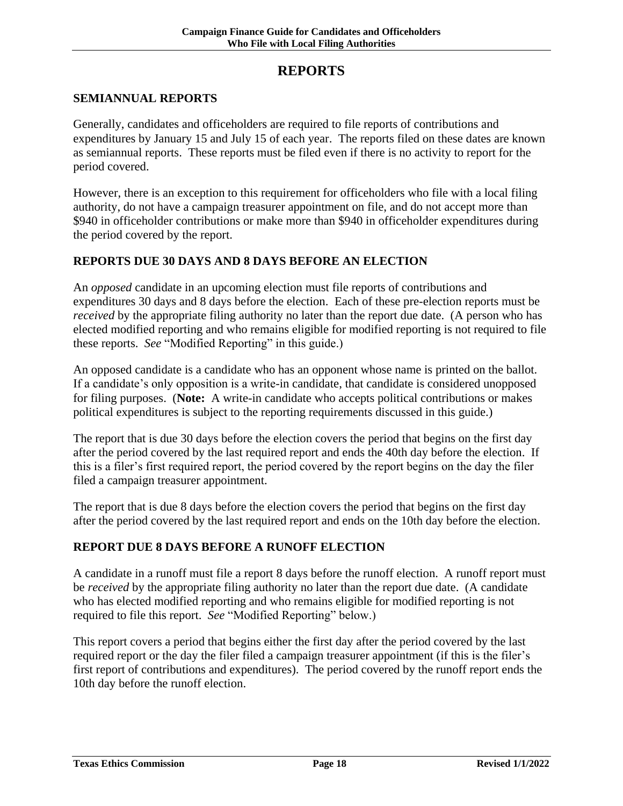## **REPORTS**

#### <span id="page-20-1"></span><span id="page-20-0"></span>**SEMIANNUAL REPORTS**

Generally, candidates and officeholders are required to file reports of contributions and expenditures by January 15 and July 15 of each year. The reports filed on these dates are known as semiannual reports. These reports must be filed even if there is no activity to report for the period covered.

However, there is an exception to this requirement for officeholders who file with a local filing authority, do not have a campaign treasurer appointment on file, and do not accept more than \$940 in officeholder contributions or make more than \$940 in officeholder expenditures during the period covered by the report.

#### **REPORTS DUE 30 DAYS AND 8 DAYS BEFORE AN ELECTION**

An *opposed* candidate in an upcoming election must file reports of contributions and expenditures 30 days and 8 days before the election. Each of these pre-election reports must be *received* by the appropriate filing authority no later than the report due date. (A person who has elected modified reporting and who remains eligible for modified reporting is not required to file these reports. *See* "Modified Reporting" in this guide.)

An opposed candidate is a candidate who has an opponent whose name is printed on the ballot. If a candidate's only opposition is a write-in candidate, that candidate is considered unopposed for filing purposes. (**Note:** A write-in candidate who accepts political contributions or makes political expenditures is subject to the reporting requirements discussed in this guide.)

The report that is due 30 days before the election covers the period that begins on the first day after the period covered by the last required report and ends the 40th day before the election. If this is a filer's first required report, the period covered by the report begins on the day the filer filed a campaign treasurer appointment.

The report that is due 8 days before the election covers the period that begins on the first day after the period covered by the last required report and ends on the 10th day before the election.

#### <span id="page-20-2"></span>**REPORT DUE 8 DAYS BEFORE A RUNOFF ELECTION**

A candidate in a runoff must file a report 8 days before the runoff election. A runoff report must be *received* by the appropriate filing authority no later than the report due date. (A candidate who has elected modified reporting and who remains eligible for modified reporting is not required to file this report. *See* "Modified Reporting" below.)

This report covers a period that begins either the first day after the period covered by the last required report or the day the filer filed a campaign treasurer appointment (if this is the filer's first report of contributions and expenditures). The period covered by the runoff report ends the 10th day before the runoff election.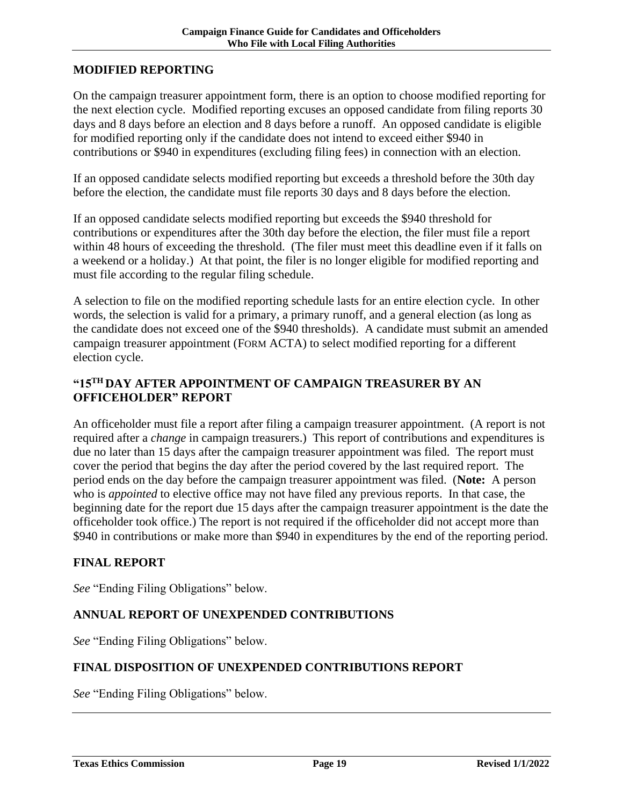#### <span id="page-21-0"></span>**MODIFIED REPORTING**

On the campaign treasurer appointment form, there is an option to choose modified reporting for the next election cycle. Modified reporting excuses an opposed candidate from filing reports 30 days and 8 days before an election and 8 days before a runoff. An opposed candidate is eligible for modified reporting only if the candidate does not intend to exceed either \$940 in contributions or \$940 in expenditures (excluding filing fees) in connection with an election.

If an opposed candidate selects modified reporting but exceeds a threshold before the 30th day before the election, the candidate must file reports 30 days and 8 days before the election.

If an opposed candidate selects modified reporting but exceeds the \$940 threshold for contributions or expenditures after the 30th day before the election, the filer must file a report within 48 hours of exceeding the threshold. (The filer must meet this deadline even if it falls on a weekend or a holiday.) At that point, the filer is no longer eligible for modified reporting and must file according to the regular filing schedule.

A selection to file on the modified reporting schedule lasts for an entire election cycle. In other words, the selection is valid for a primary, a primary runoff, and a general election (as long as the candidate does not exceed one of the \$940 thresholds). A candidate must submit an amended campaign treasurer appointment (FORM ACTA) to select modified reporting for a different election cycle.

#### <span id="page-21-1"></span>**"15TH DAY AFTER APPOINTMENT OF CAMPAIGN TREASURER BY AN OFFICEHOLDER" REPORT**

An officeholder must file a report after filing a campaign treasurer appointment. (A report is not required after a *change* in campaign treasurers.) This report of contributions and expenditures is due no later than 15 days after the campaign treasurer appointment was filed. The report must cover the period that begins the day after the period covered by the last required report. The period ends on the day before the campaign treasurer appointment was filed. (**Note:** A person who is *appointed* to elective office may not have filed any previous reports. In that case, the beginning date for the report due 15 days after the campaign treasurer appointment is the date the officeholder took office.) The report is not required if the officeholder did not accept more than \$940 in contributions or make more than \$940 in expenditures by the end of the reporting period.

#### <span id="page-21-2"></span>**FINAL REPORT**

*See* "Ending Filing Obligations" below.

#### <span id="page-21-3"></span>**ANNUAL REPORT OF UNEXPENDED CONTRIBUTIONS**

*See* "Ending Filing Obligations" below.

#### <span id="page-21-4"></span>**FINAL DISPOSITION OF UNEXPENDED CONTRIBUTIONS REPORT**

*See* "Ending Filing Obligations" below.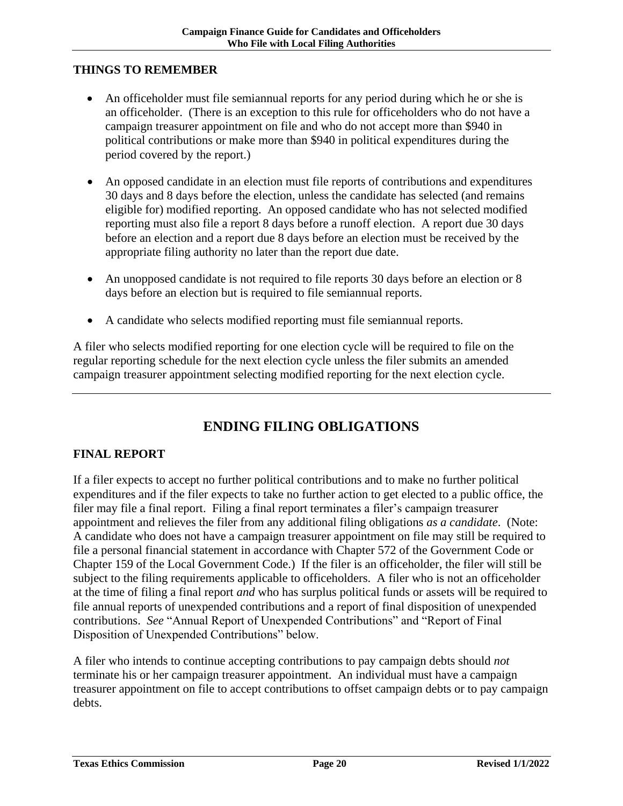#### <span id="page-22-0"></span>**THINGS TO REMEMBER**

- An officeholder must file semiannual reports for any period during which he or she is an officeholder. (There is an exception to this rule for officeholders who do not have a campaign treasurer appointment on file and who do not accept more than \$940 in political contributions or make more than \$940 in political expenditures during the period covered by the report.)
- An opposed candidate in an election must file reports of contributions and expenditures 30 days and 8 days before the election, unless the candidate has selected (and remains eligible for) modified reporting. An opposed candidate who has not selected modified reporting must also file a report 8 days before a runoff election. A report due 30 days before an election and a report due 8 days before an election must be received by the appropriate filing authority no later than the report due date.
- An unopposed candidate is not required to file reports 30 days before an election or 8 days before an election but is required to file semiannual reports.
- A candidate who selects modified reporting must file semiannual reports.

A filer who selects modified reporting for one election cycle will be required to file on the regular reporting schedule for the next election cycle unless the filer submits an amended campaign treasurer appointment selecting modified reporting for the next election cycle.

# **ENDING FILING OBLIGATIONS**

#### <span id="page-22-2"></span><span id="page-22-1"></span>**FINAL REPORT**

If a filer expects to accept no further political contributions and to make no further political expenditures and if the filer expects to take no further action to get elected to a public office, the filer may file a final report. Filing a final report terminates a filer's campaign treasurer appointment and relieves the filer from any additional filing obligations *as a candidate*. (Note: A candidate who does not have a campaign treasurer appointment on file may still be required to file a personal financial statement in accordance with Chapter 572 of the Government Code or Chapter 159 of the Local Government Code.) If the filer is an officeholder, the filer will still be subject to the filing requirements applicable to officeholders. A filer who is not an officeholder at the time of filing a final report *and* who has surplus political funds or assets will be required to file annual reports of unexpended contributions and a report of final disposition of unexpended contributions. *See* "Annual Report of Unexpended Contributions" and "Report of Final Disposition of Unexpended Contributions" below.

A filer who intends to continue accepting contributions to pay campaign debts should *not* terminate his or her campaign treasurer appointment. An individual must have a campaign treasurer appointment on file to accept contributions to offset campaign debts or to pay campaign debts.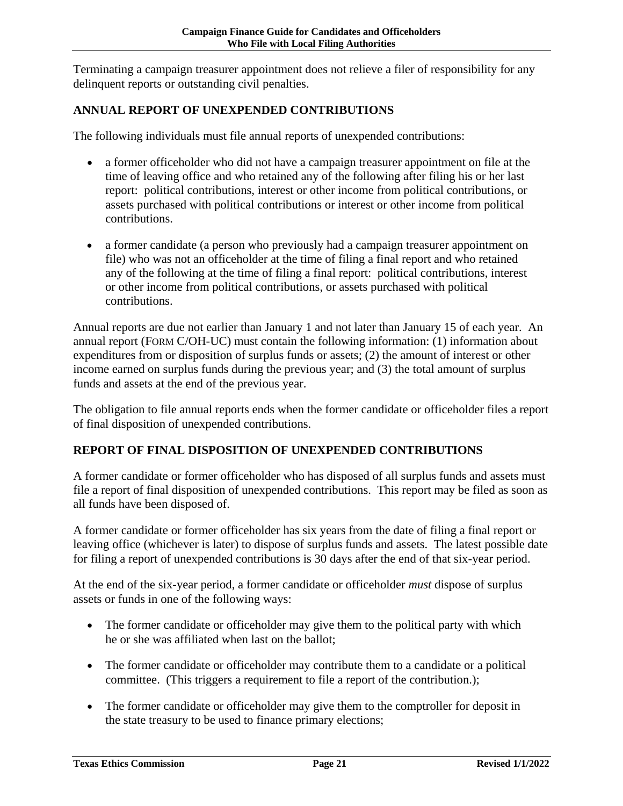Terminating a campaign treasurer appointment does not relieve a filer of responsibility for any delinquent reports or outstanding civil penalties.

## <span id="page-23-0"></span>**ANNUAL REPORT OF UNEXPENDED CONTRIBUTIONS**

The following individuals must file annual reports of unexpended contributions:

- a former officeholder who did not have a campaign treasurer appointment on file at the time of leaving office and who retained any of the following after filing his or her last report: political contributions, interest or other income from political contributions, or assets purchased with political contributions or interest or other income from political contributions.
- a former candidate (a person who previously had a campaign treasurer appointment on file) who was not an officeholder at the time of filing a final report and who retained any of the following at the time of filing a final report: political contributions, interest or other income from political contributions, or assets purchased with political contributions.

Annual reports are due not earlier than January 1 and not later than January 15 of each year. An annual report (FORM C/OH-UC) must contain the following information: (1) information about expenditures from or disposition of surplus funds or assets; (2) the amount of interest or other income earned on surplus funds during the previous year; and (3) the total amount of surplus funds and assets at the end of the previous year.

The obligation to file annual reports ends when the former candidate or officeholder files a report of final disposition of unexpended contributions.

### <span id="page-23-1"></span>**REPORT OF FINAL DISPOSITION OF UNEXPENDED CONTRIBUTIONS**

A former candidate or former officeholder who has disposed of all surplus funds and assets must file a report of final disposition of unexpended contributions. This report may be filed as soon as all funds have been disposed of.

A former candidate or former officeholder has six years from the date of filing a final report or leaving office (whichever is later) to dispose of surplus funds and assets. The latest possible date for filing a report of unexpended contributions is 30 days after the end of that six-year period.

At the end of the six-year period, a former candidate or officeholder *must* dispose of surplus assets or funds in one of the following ways:

- The former candidate or officeholder may give them to the political party with which he or she was affiliated when last on the ballot;
- The former candidate or officeholder may contribute them to a candidate or a political committee. (This triggers a requirement to file a report of the contribution.);
- The former candidate or officeholder may give them to the comptroller for deposit in the state treasury to be used to finance primary elections;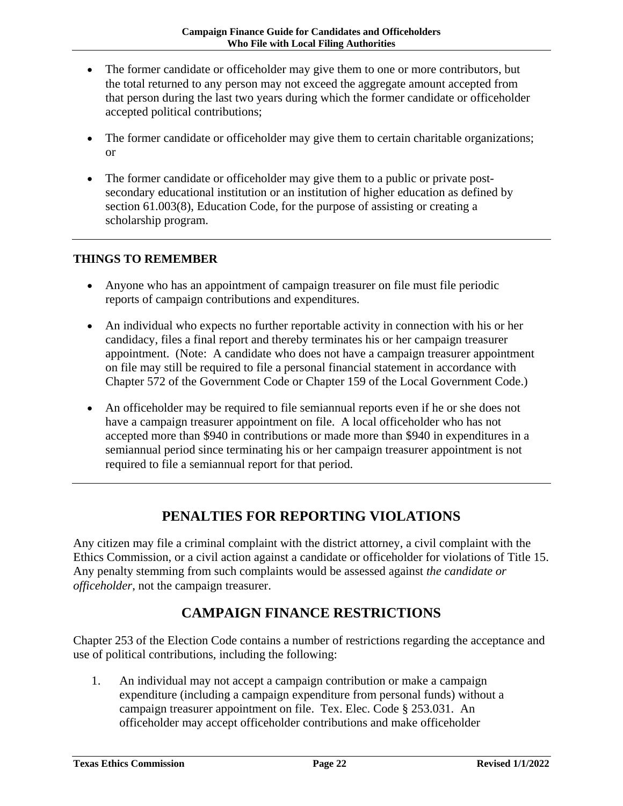- The former candidate or officeholder may give them to one or more contributors, but the total returned to any person may not exceed the aggregate amount accepted from that person during the last two years during which the former candidate or officeholder accepted political contributions;
- The former candidate or officeholder may give them to certain charitable organizations; or
- The former candidate or officeholder may give them to a public or private postsecondary educational institution or an institution of higher education as defined by section 61.003(8), Education Code, for the purpose of assisting or creating a scholarship program.

#### <span id="page-24-0"></span>**THINGS TO REMEMBER**

- Anyone who has an appointment of campaign treasurer on file must file periodic reports of campaign contributions and expenditures.
- An individual who expects no further reportable activity in connection with his or her candidacy, files a final report and thereby terminates his or her campaign treasurer appointment. (Note: A candidate who does not have a campaign treasurer appointment on file may still be required to file a personal financial statement in accordance with Chapter 572 of the Government Code or Chapter 159 of the Local Government Code.)
- An officeholder may be required to file semiannual reports even if he or she does not have a campaign treasurer appointment on file. A local officeholder who has not accepted more than \$940 in contributions or made more than \$940 in expenditures in a semiannual period since terminating his or her campaign treasurer appointment is not required to file a semiannual report for that period.

# **PENALTIES FOR REPORTING VIOLATIONS**

<span id="page-24-1"></span>Any citizen may file a criminal complaint with the district attorney, a civil complaint with the Ethics Commission, or a civil action against a candidate or officeholder for violations of Title 15. Any penalty stemming from such complaints would be assessed against *the candidate or officeholder*, not the campaign treasurer.

# **CAMPAIGN FINANCE RESTRICTIONS**

<span id="page-24-2"></span>Chapter 253 of the Election Code contains a number of restrictions regarding the acceptance and use of political contributions, including the following:

1. An individual may not accept a campaign contribution or make a campaign expenditure (including a campaign expenditure from personal funds) without a campaign treasurer appointment on file. Tex. Elec. Code § 253.031. An officeholder may accept officeholder contributions and make officeholder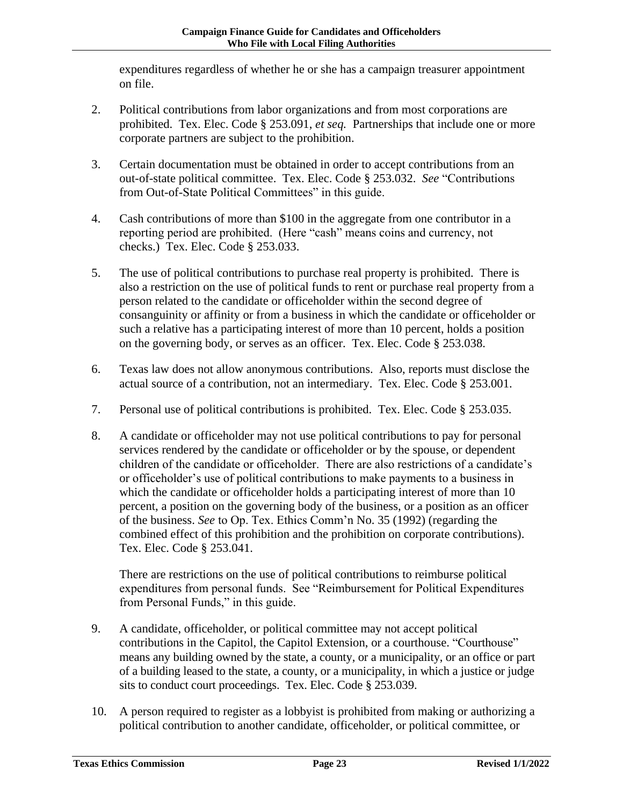expenditures regardless of whether he or she has a campaign treasurer appointment on file.

- 2. Political contributions from labor organizations and from most corporations are prohibited. Tex. Elec. Code § 253.091, *et seq.* Partnerships that include one or more corporate partners are subject to the prohibition.
- 3. Certain documentation must be obtained in order to accept contributions from an out-of-state political committee. Tex. Elec. Code § 253.032. *See* "Contributions from Out-of-State Political Committees" in this guide.
- 4. Cash contributions of more than \$100 in the aggregate from one contributor in a reporting period are prohibited. (Here "cash" means coins and currency, not checks.) Tex. Elec. Code § 253.033.
- 5. The use of political contributions to purchase real property is prohibited. There is also a restriction on the use of political funds to rent or purchase real property from a person related to the candidate or officeholder within the second degree of consanguinity or affinity or from a business in which the candidate or officeholder or such a relative has a participating interest of more than 10 percent, holds a position on the governing body, or serves as an officer. Tex. Elec. Code § 253.038.
- 6. Texas law does not allow anonymous contributions. Also, reports must disclose the actual source of a contribution, not an intermediary. Tex. Elec. Code § 253.001.
- 7. Personal use of political contributions is prohibited. Tex. Elec. Code § 253.035.
- 8. A candidate or officeholder may not use political contributions to pay for personal services rendered by the candidate or officeholder or by the spouse, or dependent children of the candidate or officeholder. There are also restrictions of a candidate's or officeholder's use of political contributions to make payments to a business in which the candidate or officeholder holds a participating interest of more than 10 percent, a position on the governing body of the business, or a position as an officer of the business. *See* to Op. Tex. Ethics Comm'n No. 35 (1992) (regarding the combined effect of this prohibition and the prohibition on corporate contributions). Tex. Elec. Code § 253.041.

There are restrictions on the use of political contributions to reimburse political expenditures from personal funds. See "Reimbursement for Political Expenditures from Personal Funds," in this guide.

- 9. A candidate, officeholder, or political committee may not accept political contributions in the Capitol, the Capitol Extension, or a courthouse. "Courthouse" means any building owned by the state, a county, or a municipality, or an office or part of a building leased to the state, a county, or a municipality, in which a justice or judge sits to conduct court proceedings. Tex. Elec. Code § 253.039.
- 10. A person required to register as a lobbyist is prohibited from making or authorizing a political contribution to another candidate, officeholder, or political committee, or